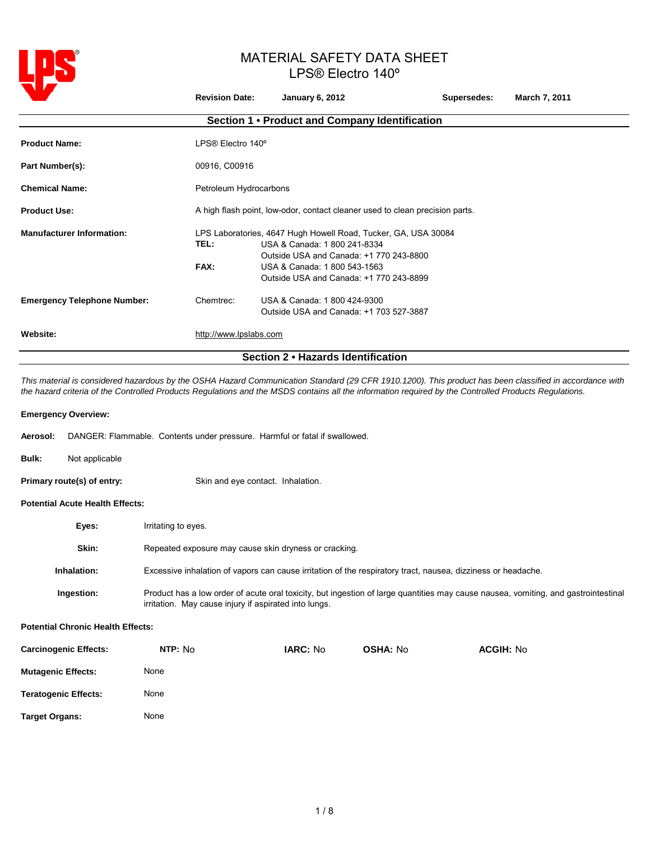

|                                    | <b>Revision Date:</b>                                                        | <b>January 6, 2012</b>                                                                                                                                                                                               | Supersedes: | March 7, 2011 |  |
|------------------------------------|------------------------------------------------------------------------------|----------------------------------------------------------------------------------------------------------------------------------------------------------------------------------------------------------------------|-------------|---------------|--|
|                                    |                                                                              | Section 1 • Product and Company Identification                                                                                                                                                                       |             |               |  |
| <b>Product Name:</b>               | LPS® Electro 140°                                                            |                                                                                                                                                                                                                      |             |               |  |
| Part Number(s):                    | 00916, C00916                                                                |                                                                                                                                                                                                                      |             |               |  |
| <b>Chemical Name:</b>              | Petroleum Hydrocarbons                                                       |                                                                                                                                                                                                                      |             |               |  |
| <b>Product Use:</b>                | A high flash point, low-odor, contact cleaner used to clean precision parts. |                                                                                                                                                                                                                      |             |               |  |
| <b>Manufacturer Information:</b>   | TEL:<br>FAX:                                                                 | LPS Laboratories, 4647 Hugh Howell Road, Tucker, GA, USA 30084<br>USA & Canada: 1 800 241-8334<br>Outside USA and Canada: +1 770 243-8800<br>USA & Canada: 1 800 543-1563<br>Outside USA and Canada: +1 770 243-8899 |             |               |  |
| <b>Emergency Telephone Number:</b> | Chemtrec:                                                                    | USA & Canada: 1 800 424-9300<br>Outside USA and Canada: +1 703 527-3887                                                                                                                                              |             |               |  |
| Website:                           | http://www.lpslabs.com                                                       |                                                                                                                                                                                                                      |             |               |  |
| Section 2 . Hazards Identification |                                                                              |                                                                                                                                                                                                                      |             |               |  |

*This material is considered hazardous by the OSHA Hazard Communication Standard (29 CFR 1910.1200). This product has been classified in accordance with the hazard criteria of the Controlled Products Regulations and the MSDS contains all the information required by the Controlled Products Regulations.*

## **Emergency Overview:**

| <b>Aerosol:</b> DANGER: Flammable. Contents under pressure. Harmful or fatal if swallowed. |
|--------------------------------------------------------------------------------------------|
|--------------------------------------------------------------------------------------------|

**Bulk:** Not applicable

**Primary route(s) of entry:** Skin and eye contact. Inhalation.

# **Potential Acute Health Effects:**

| Eyes:              | Irritating to eyes.                                                                                                                                                                         |
|--------------------|---------------------------------------------------------------------------------------------------------------------------------------------------------------------------------------------|
| Skin:              | Repeated exposure may cause skin dryness or cracking.                                                                                                                                       |
| <b>Inhalation:</b> | Excessive inhalation of vapors can cause irritation of the respiratory tract, nausea, dizziness or headache.                                                                                |
| Ingestion:         | Product has a low order of acute oral toxicity, but ingestion of large guantities may cause nausea, vomiting, and gastrointestinal<br>irritation. May cause injury if aspirated into lungs. |

## **Potential Chronic Health Effects:**

| <b>Carcinogenic Effects:</b> | NTP: No | <b>IARC: No</b> | <b>OSHA: No</b> | <b>ACGIH: No</b> |
|------------------------------|---------|-----------------|-----------------|------------------|
| <b>Mutagenic Effects:</b>    | None    |                 |                 |                  |
| <b>Teratogenic Effects:</b>  | None    |                 |                 |                  |
| <b>Target Organs:</b>        | None    |                 |                 |                  |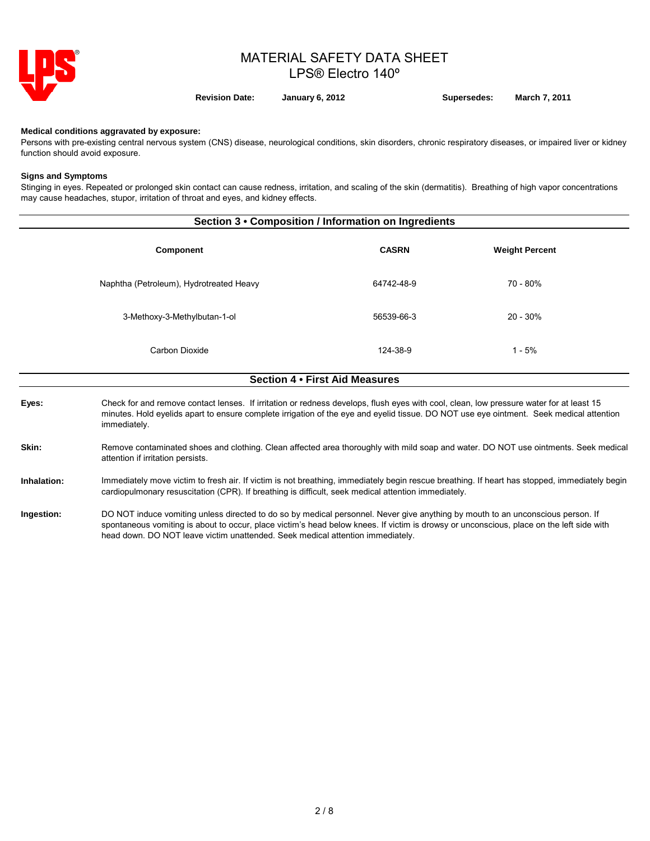

**Revision Date: January 6, 2012 Supersedes: March 7, 2011**

**Medical conditions aggravated by exposure:**

immediately.

Persons with pre-existing central nervous system (CNS) disease, neurological conditions, skin disorders, chronic respiratory diseases, or impaired liver or kidney function should avoid exposure.

#### **Signs and Symptoms**

Stinging in eyes. Repeated or prolonged skin contact can cause redness, irritation, and scaling of the skin (dermatitis). Breathing of high vapor concentrations may cause headaches, stupor, irritation of throat and eyes, and kidney effects.

| Section 3 • Composition / Information on Ingredients |                                                                                                                                                                                                                                                                                    |                                |                       |  |  |
|------------------------------------------------------|------------------------------------------------------------------------------------------------------------------------------------------------------------------------------------------------------------------------------------------------------------------------------------|--------------------------------|-----------------------|--|--|
|                                                      | <b>Component</b>                                                                                                                                                                                                                                                                   | <b>CASRN</b>                   | <b>Weight Percent</b> |  |  |
|                                                      | Naphtha (Petroleum), Hydrotreated Heavy                                                                                                                                                                                                                                            | 64742-48-9                     | 70 - 80%              |  |  |
|                                                      | 3-Methoxy-3-Methylbutan-1-ol                                                                                                                                                                                                                                                       | 56539-66-3                     | $20 - 30\%$           |  |  |
|                                                      | Carbon Dioxide                                                                                                                                                                                                                                                                     | 124-38-9                       | $1 - 5%$              |  |  |
|                                                      |                                                                                                                                                                                                                                                                                    | Section 4 . First Aid Measures |                       |  |  |
| Eyes:                                                | Check for and remove contact lenses. If irritation or redness develops, flush eyes with cool, clean, low pressure water for at least 15<br>minutes. Hold eyelids apart to ensure complete irrigation of the eye and eyelid tissue. DO NOT use eye ointment. Seek medical attention |                                |                       |  |  |

**Skin:** Remove contaminated shoes and clothing. Clean affected area thoroughly with mild soap and water. DO NOT use ointments. Seek medical attention if irritation persists.

### **Inhalation:** Immediately move victim to fresh air. If victim is not breathing, immediately begin rescue breathing. If heart has stopped, immediately begin cardiopulmonary resuscitation (CPR). If breathing is difficult, seek medical attention immediately.

**Ingestion:** DO NOT induce vomiting unless directed to do so by medical personnel. Never give anything by mouth to an unconscious person. If spontaneous vomiting is about to occur, place victim's head below knees. If victim is drowsy or unconscious, place on the left side with head down. DO NOT leave victim unattended. Seek medical attention immediately.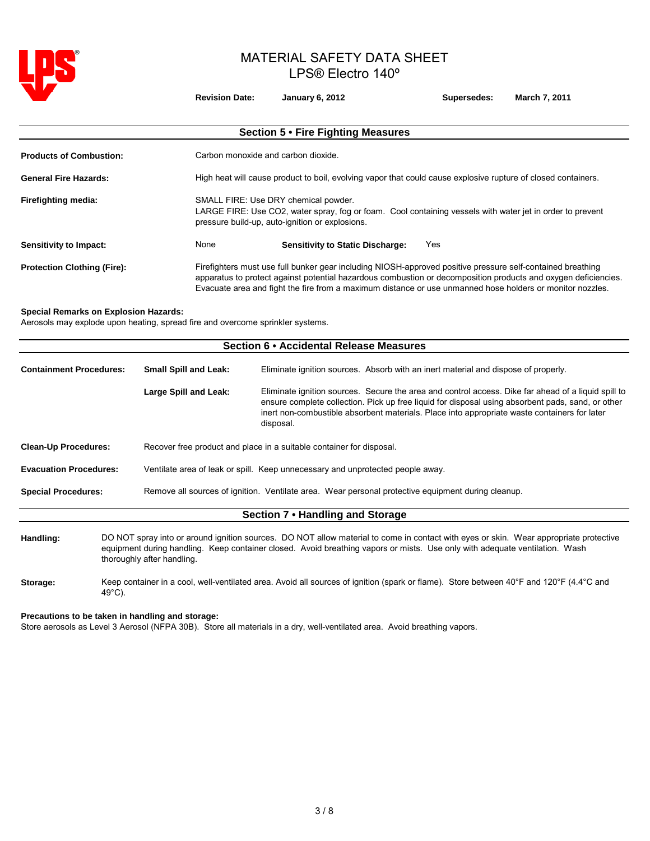

**Special** 

# MATERIAL SAFETY DATA SHEET LPS® Electro 140º

|                                              | <b>Revision Date:</b>                                                          | <b>January 6, 2012</b>                                                                                                                                                                                                                                                                                                                                                 | Supersedes: | March 7, 2011 |  |  |  |
|----------------------------------------------|--------------------------------------------------------------------------------|------------------------------------------------------------------------------------------------------------------------------------------------------------------------------------------------------------------------------------------------------------------------------------------------------------------------------------------------------------------------|-------------|---------------|--|--|--|
|                                              |                                                                                | Section 5 . Fire Fighting Measures                                                                                                                                                                                                                                                                                                                                     |             |               |  |  |  |
| <b>Products of Combustion:</b>               |                                                                                | Carbon monoxide and carbon dioxide.                                                                                                                                                                                                                                                                                                                                    |             |               |  |  |  |
| <b>General Fire Hazards:</b>                 |                                                                                | High heat will cause product to boil, evolving vapor that could cause explosive rupture of closed containers.                                                                                                                                                                                                                                                          |             |               |  |  |  |
| Firefighting media:                          |                                                                                | SMALL FIRE: Use DRY chemical powder.<br>LARGE FIRE: Use CO2, water spray, fog or foam. Cool containing vessels with water jet in order to prevent<br>pressure build-up, auto-ignition or explosions.                                                                                                                                                                   |             |               |  |  |  |
| Sensitivity to Impact:                       | None                                                                           | <b>Sensitivity to Static Discharge:</b>                                                                                                                                                                                                                                                                                                                                | Yes         |               |  |  |  |
| <b>Protection Clothing (Fire):</b>           |                                                                                | Firefighters must use full bunker gear including NIOSH-approved positive pressure self-contained breathing<br>apparatus to protect against potential hazardous combustion or decomposition products and oxygen deficiencies.<br>Evacuate area and fight the fire from a maximum distance or use unmanned hose holders or monitor nozzles.                              |             |               |  |  |  |
| <b>Special Remarks on Explosion Hazards:</b> | Aerosols may explode upon heating, spread fire and overcome sprinkler systems. |                                                                                                                                                                                                                                                                                                                                                                        |             |               |  |  |  |
|                                              |                                                                                | Section 6 · Accidental Release Measures                                                                                                                                                                                                                                                                                                                                |             |               |  |  |  |
| <b>Containment Procedures:</b>               | <b>Small Spill and Leak:</b>                                                   | Eliminate ignition sources. Absorb with an inert material and dispose of properly.                                                                                                                                                                                                                                                                                     |             |               |  |  |  |
|                                              | Large Spill and Leak:                                                          | Eliminate ignition sources. Secure the area and control access. Dike far ahead of a liquid spill to<br>ensure complete collection. Pick up free liquid for disposal using absorbent pads, sand, or other<br>inert non-combustible absorbent materials. Place into appropriate waste containers for later<br>disposal.                                                  |             |               |  |  |  |
| <b>Clean-Up Procedures:</b>                  |                                                                                | Recover free product and place in a suitable container for disposal.                                                                                                                                                                                                                                                                                                   |             |               |  |  |  |
| <b>Evacuation Procedures:</b>                |                                                                                | Ventilate area of leak or spill. Keep unnecessary and unprotected people away.                                                                                                                                                                                                                                                                                         |             |               |  |  |  |
| <b>Special Procedures:</b>                   |                                                                                | Remove all sources of ignition. Ventilate area. Wear personal protective equipment during cleanup.                                                                                                                                                                                                                                                                     |             |               |  |  |  |
|                                              |                                                                                | Section 7 . Handling and Storage                                                                                                                                                                                                                                                                                                                                       |             |               |  |  |  |
| Handling:                                    |                                                                                | DO NOT spray into or around ignition sources. DO NOT allow material to come in contact with eyes or skin. Wear appropriate protective<br>dealership and the contract of the contract of the contract of the contract of the subject of the subject of the subject of the Media (Media) (All and Media) (All and Media) (All and Media) (All and Media) (All and Media) |             |               |  |  |  |

- equipment during handling. Keep container closed. Avoid breathing vapors or mists. Use only with adequate ventilation. Wash thoroughly after handling.
- **Storage:** Keep container in a cool, well-ventilated area. Avoid all sources of ignition (spark or flame). Store between 40°F and 120°F (4.4°C and 49°C).

## **Precautions to be taken in handling and storage:**

Store aerosols as Level 3 Aerosol (NFPA 30B). Store all materials in a dry, well-ventilated area. Avoid breathing vapors.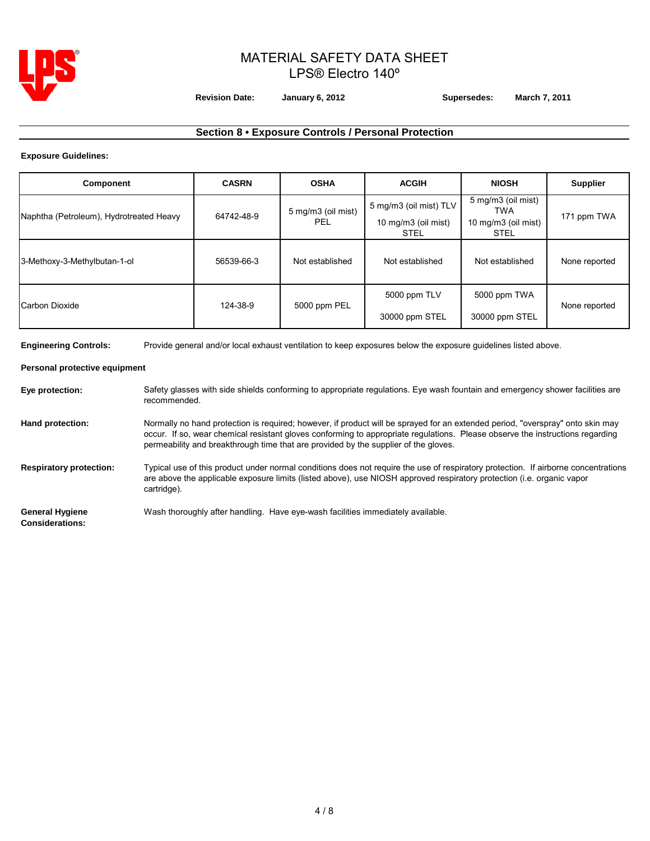

**Revision Date: January 6, 2012 Supersedes: March 7, 2011**

# **Section 8 • Exposure Controls / Personal Protection**

## **Exposure Guidelines:**

| Component                               | <b>CASRN</b> | <b>OSHA</b>               | <b>ACGIH</b>                                                 | <b>NIOSH</b>                                                    | <b>Supplier</b> |
|-----------------------------------------|--------------|---------------------------|--------------------------------------------------------------|-----------------------------------------------------------------|-----------------|
| Naphtha (Petroleum), Hydrotreated Heavy | 64742-48-9   | 5 mg/m3 (oil mist)<br>PEL | 5 mg/m3 (oil mist) TLV<br>10 mg/m3 (oil mist)<br><b>STEL</b> | 5 mg/m3 (oil mist)<br>TWA<br>10 mg/m3 (oil mist)<br><b>STEL</b> | 171 ppm TWA     |
| 3-Methoxy-3-Methylbutan-1-ol            | 56539-66-3   | Not established           | Not established                                              | Not established                                                 | None reported   |
| Carbon Dioxide                          | 124-38-9     | 5000 ppm PEL              | 5000 ppm TLV<br>30000 ppm STEL                               | 5000 ppm TWA<br>30000 ppm STEL                                  | None reported   |

**Engineering Controls:** Provide general and/or local exhaust ventilation to keep exposures below the exposure guidelines listed above.

## **Personal protective equipment**

| Eye protection:                                  | Safety glasses with side shields conforming to appropriate regulations. Eye wash fountain and emergency shower facilities are<br>recommended.                                                                                                                                                                                                          |
|--------------------------------------------------|--------------------------------------------------------------------------------------------------------------------------------------------------------------------------------------------------------------------------------------------------------------------------------------------------------------------------------------------------------|
| Hand protection:                                 | Normally no hand protection is required; however, if product will be sprayed for an extended period, "overspray" onto skin may<br>occur. If so, wear chemical resistant gloves conforming to appropriate regulations. Please observe the instructions regarding<br>permeability and breakthrough time that are provided by the supplier of the gloves. |
| <b>Respiratory protection:</b>                   | Typical use of this product under normal conditions does not require the use of respiratory protection. If airborne concentrations<br>are above the applicable exposure limits (listed above), use NIOSH approved respiratory protection (i.e. organic vapor<br>cartridge).                                                                            |
| <b>General Hygiene</b><br><b>Considerations:</b> | Wash thoroughly after handling. Have eye-wash facilities immediately available.                                                                                                                                                                                                                                                                        |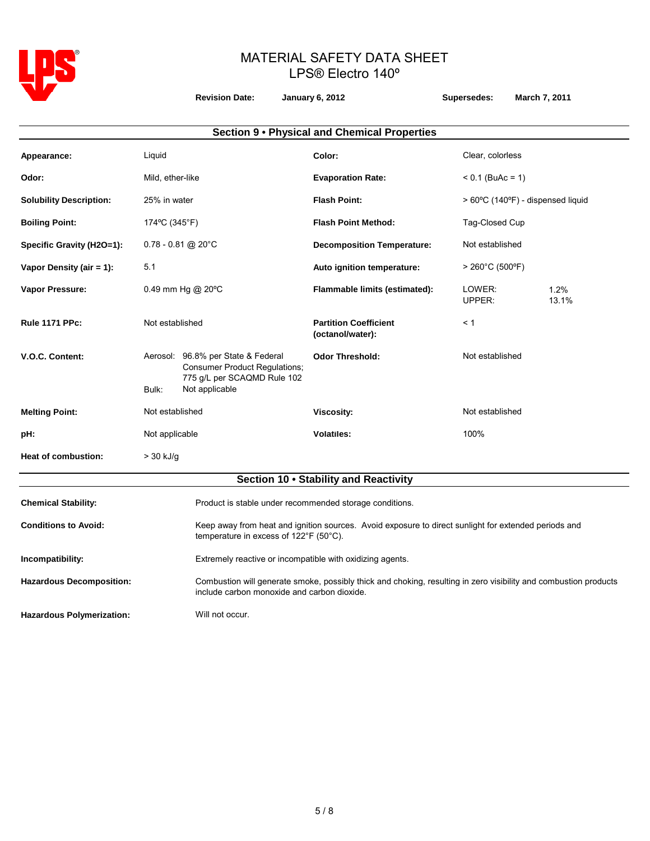

**Revision Date: January 6, 2012 Supersedes: March 7, 2011**

|                                |                  |                                                                                                                             | Section 9 . Physical and Chemical Properties     |                    |                                   |  |
|--------------------------------|------------------|-----------------------------------------------------------------------------------------------------------------------------|--------------------------------------------------|--------------------|-----------------------------------|--|
| Appearance:                    | Liquid           |                                                                                                                             | Color:                                           | Clear, colorless   |                                   |  |
| Odor:                          | Mild, ether-like |                                                                                                                             | <b>Evaporation Rate:</b>                         | $< 0.1$ (BuAc = 1) |                                   |  |
| <b>Solubility Description:</b> | 25% in water     |                                                                                                                             | <b>Flash Point:</b>                              |                    | > 60°C (140°F) - dispensed liquid |  |
| <b>Boiling Point:</b>          | 174°C (345°F)    |                                                                                                                             | <b>Flash Point Method:</b>                       | Tag-Closed Cup     |                                   |  |
| Specific Gravity (H2O=1):      |                  | $0.78 - 0.81$ @ 20°C                                                                                                        | <b>Decomposition Temperature:</b>                | Not established    |                                   |  |
| Vapor Density (air $= 1$ ):    | 5.1              |                                                                                                                             | Auto ignition temperature:                       |                    | $> 260^{\circ}$ C (500°F)         |  |
| Vapor Pressure:                |                  | 0.49 mm Hg @ $20^{\circ}$ C                                                                                                 | Flammable limits (estimated):                    | LOWER:<br>UPPER:   | 1.2%<br>13.1%                     |  |
| <b>Rule 1171 PPc:</b>          | Not established  |                                                                                                                             | <b>Partition Coefficient</b><br>(octanol/water): | < 1                |                                   |  |
| V.O.C. Content:                | Bulk:            | Aerosol: 96.8% per State & Federal<br><b>Consumer Product Regulations;</b><br>775 g/L per SCAQMD Rule 102<br>Not applicable | <b>Odor Threshold:</b>                           | Not established    |                                   |  |
| <b>Melting Point:</b>          | Not established  |                                                                                                                             | <b>Viscosity:</b>                                | Not established    |                                   |  |
| pH:                            | Not applicable   |                                                                                                                             | <b>Volatiles:</b>                                | 100%               |                                   |  |
| <b>Heat of combustion:</b>     | $>$ 30 kJ/g      |                                                                                                                             |                                                  |                    |                                   |  |
|                                |                  |                                                                                                                             | Section 10 . Stability and Reactivity            |                    |                                   |  |
| <b>Chemical Stability:</b>     |                  | Product is stable under recommended storage conditions.                                                                     |                                                  |                    |                                   |  |

Conditions to Avoid: Keep away from heat and ignition sources. Avoid exposure to direct sunlight for extended periods and temperature in excess of 122°F (50°C).

**Incompatibility:** Extremely reactive or incompatible with oxidizing agents.

**Hazardous Decomposition:** Combustion will generate smoke, possibly thick and choking, resulting in zero visibility and combustion products include carbon monoxide and carbon dioxide.

Hazardous Polymerization: Will not occur.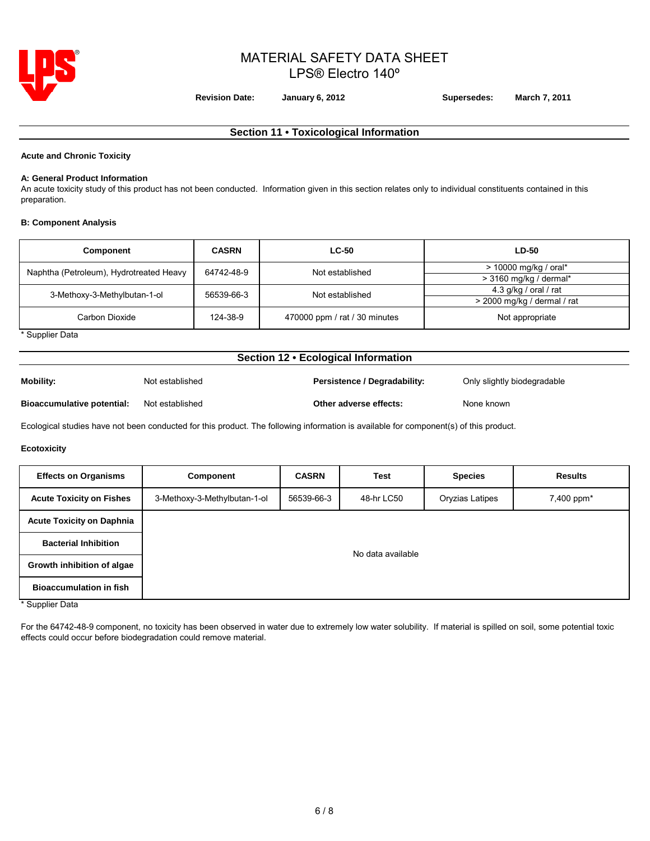

**Revision Date: January 6, 2012 Supersedes: March 7, 2011**

# **Section 11 • Toxicological Information**

### **Acute and Chronic Toxicity**

#### **A: General Product Information**

An acute toxicity study of this product has not been conducted. Information given in this section relates only to individual constituents contained in this preparation.

## **B: Component Analysis**

| Component                               | <b>CASRN</b> | <b>LC-50</b>                  | <b>LD-50</b>                |
|-----------------------------------------|--------------|-------------------------------|-----------------------------|
| Naphtha (Petroleum), Hydrotreated Heavy | 64742-48-9   | Not established               | $>$ 10000 mg/kg / oral*     |
|                                         |              |                               | $>$ 3160 mg/kg / dermal*    |
| 3-Methoxy-3-Methylbutan-1-ol            | 56539-66-3   | Not established               | 4.3 g/kg / oral / rat       |
|                                         |              |                               | > 2000 mg/kg / dermal / rat |
| Carbon Dioxide                          | 124-38-9     | 470000 ppm / rat / 30 minutes | Not appropriate             |

\* Supplier Data

## **Section 12 • Ecological Information**

| Mobility:                         | Not established | Persistence / Degradability: | Only slightly biodegradable |
|-----------------------------------|-----------------|------------------------------|-----------------------------|
| <b>Bioaccumulative potential:</b> | Not established | Other adverse effects:       | None known                  |

Ecological studies have not been conducted for this product. The following information is available for component(s) of this product.

#### **Ecotoxicity**

| <b>Effects on Organisms</b>                                                                                                                   | <b>Component</b>             | <b>CASRN</b> | <b>Test</b> | <b>Species</b>  | <b>Results</b> |  |
|-----------------------------------------------------------------------------------------------------------------------------------------------|------------------------------|--------------|-------------|-----------------|----------------|--|
| <b>Acute Toxicity on Fishes</b>                                                                                                               | 3-Methoxy-3-Methylbutan-1-ol | 56539-66-3   | 48-hr LC50  | Oryzias Latipes | 7,400 ppm*     |  |
| <b>Acute Toxicity on Daphnia</b>                                                                                                              |                              |              |             |                 |                |  |
| <b>Bacterial Inhibition</b>                                                                                                                   | No data available            |              |             |                 |                |  |
| Growth inhibition of algae                                                                                                                    |                              |              |             |                 |                |  |
| <b>Bioaccumulation in fish</b><br>$\begin{array}{ccccccccccccccccc} \cdots & \cdots & \cdots & \cdots & \cdots & \cdots & \cdots \end{array}$ |                              |              |             |                 |                |  |

\* Supplier Data

For the 64742-48-9 component, no toxicity has been observed in water due to extremely low water solubility. If material is spilled on soil, some potential toxic effects could occur before biodegradation could remove material.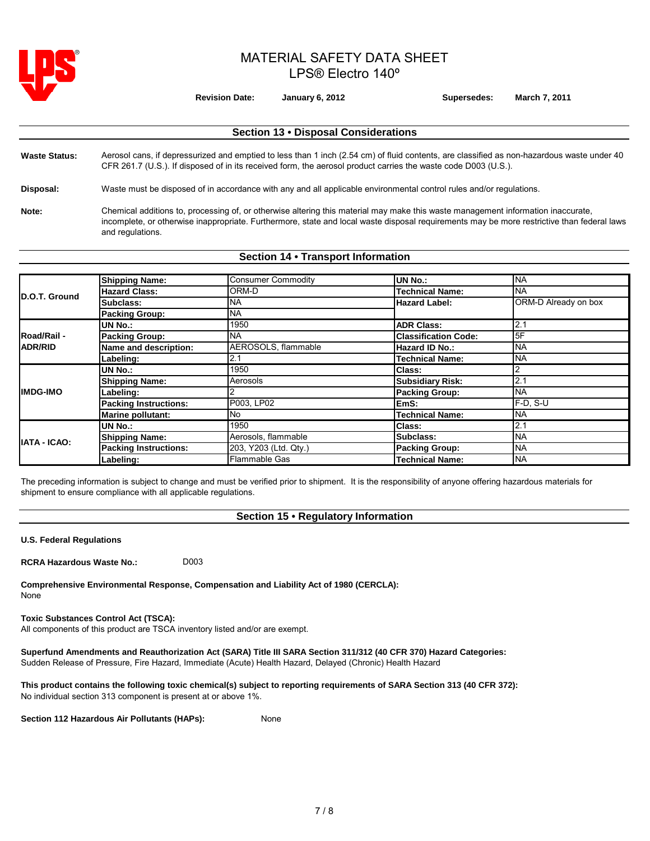

**Revision Date: January 6, 2012 Supersedes: March 7, 2011**

# **Section 13 • Disposal Considerations** Waste Status: Aerosol cans, if depressurized and emptied to less than 1 inch (2.54 cm) of fluid contents, are classified as non-hazardous waste under 40 CFR 261.7 (U.S.). If disposed of in its received form, the aerosol product carries the waste code D003 (U.S.). **Disposal:** Waste must be disposed of in accordance with any and all applicable environmental control rules and/or regulations. **Note:** Chemical additions to, processing of, or otherwise altering this material may make this waste management information inaccurate, incomplete, or otherwise inappropriate. Furthermore, state and local waste disposal requirements may be more restrictive than federal laws and regulations.

# **Section 14 • Transport Information**

| D.O.T. Ground       | <b>Shipping Name:</b>        | <b>Consumer Commodity</b> | UN No.:                     | <b>NA</b>            |  |
|---------------------|------------------------------|---------------------------|-----------------------------|----------------------|--|
|                     | <b>Hazard Class:</b>         | ORM-D                     | <b>Technical Name:</b>      | <b>NA</b>            |  |
|                     | Subclass:                    | <b>NA</b>                 | <b>Hazard Label:</b>        | ORM-D Already on box |  |
|                     | <b>Packing Group:</b>        | <b>NA</b>                 |                             |                      |  |
|                     | UN No.:                      | 1950                      | <b>ADR Class:</b>           | 2.1                  |  |
| <b>Road/Rail -</b>  | <b>Packing Group:</b>        | <b>NA</b>                 | <b>Classification Code:</b> | 5F                   |  |
| <b>ADR/RID</b>      | Name and description:        | AEROSOLS, flammable       | <b>Hazard ID No.:</b>       | <b>NA</b>            |  |
|                     | Labeling:                    | 2.1                       | <b>Technical Name:</b>      | <b>NA</b>            |  |
|                     | UN No.:                      | 1950                      | <b>Class:</b>               |                      |  |
|                     | <b>Shipping Name:</b>        | Aerosols                  | <b>Subsidiary Risk:</b>     | 2.1                  |  |
| <b>IIMDG-IMO</b>    | Labeling:                    |                           | <b>Packing Group:</b>       | <b>NA</b>            |  |
|                     | <b>Packing Instructions:</b> | P003, LP02                | EmS:                        | F-D. S-U             |  |
|                     | Marine pollutant:            | No                        | <b>Technical Name:</b>      | <b>NA</b>            |  |
|                     | UN No.:                      | 1950                      | Class:                      | 2.1                  |  |
| <b>IATA - ICAO:</b> | <b>Shipping Name:</b>        | Aerosols, flammable       | Subclass:                   | <b>NA</b>            |  |
|                     | <b>Packing Instructions:</b> | 203, Y203 (Ltd. Qty.)     | <b>Packing Group:</b>       | <b>NA</b>            |  |
|                     | Labeling:                    | Flammable Gas             | <b>Technical Name:</b>      | <b>NA</b>            |  |

The preceding information is subject to change and must be verified prior to shipment. It is the responsibility of anyone offering hazardous materials for shipment to ensure compliance with all applicable regulations.

# **Section 15 • Regulatory Information**

**U.S. Federal Regulations**

**RCRA Hazardous Waste No.:**  D003

**Comprehensive Environmental Response, Compensation and Liability Act of 1980 (CERCLA):** None

## **Toxic Substances Control Act (TSCA):**

All components of this product are TSCA inventory listed and/or are exempt.

**Superfund Amendments and Reauthorization Act (SARA) Title III SARA Section 311/312 (40 CFR 370) Hazard Categories:**  Sudden Release of Pressure, Fire Hazard, Immediate (Acute) Health Hazard, Delayed (Chronic) Health Hazard

**This product contains the following toxic chemical(s) subject to reporting requirements of SARA Section 313 (40 CFR 372):**  No individual section 313 component is present at or above 1%.

**Section 112 Hazardous Air Pollutants (HAPs):** None